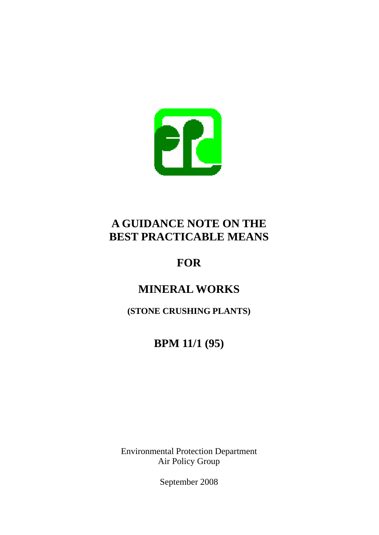

# **A GUIDANCE NOTE ON THE BEST PRACTICABLE MEANS**

# **FOR**

# **MINERAL WORKS**

**(STONE CRUSHING PLANTS)** 

# **BPM 11/1 (95)**

Environmental Protection Department Air Policy Group

September 2008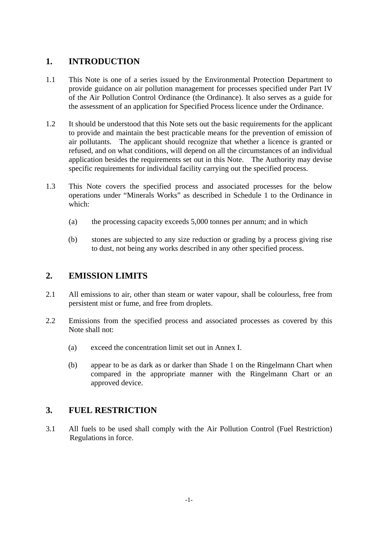## **1. INTRODUCTION**

- 1.1 This Note is one of a series issued by the Environmental Protection Department to provide guidance on air pollution management for processes specified under Part IV of the Air Pollution Control Ordinance (the Ordinance). It also serves as a guide for the assessment of an application for Specified Process licence under the Ordinance.
- 1.2 It should be understood that this Note sets out the basic requirements for the applicant to provide and maintain the best practicable means for the prevention of emission of air pollutants. The applicant should recognize that whether a licence is granted or refused, and on what conditions, will depend on all the circumstances of an individual application besides the requirements set out in this Note. The Authority may devise specific requirements for individual facility carrying out the specified process.
- 1.3 This Note covers the specified process and associated processes for the below operations under "Minerals Works" as described in Schedule 1 to the Ordinance in which:
	- (a) the processing capacity exceeds 5,000 tonnes per annum; and in which
	- (b) stones are subjected to any size reduction or grading by a process giving rise to dust, not being any works described in any other specified process.

## **2. EMISSION LIMITS**

- 2.1 All emissions to air, other than steam or water vapour, shall be colourless, free from persistent mist or fume, and free from droplets.
- 2.2 Emissions from the specified process and associated processes as covered by this Note shall not:
	- exceed the concentration limit set out in Annex I.
	- (a) exceed the concentration limit set out in Annex I. (b) appear to be as dark as or darker than Shade 1 on the Ringelmann Chart when compared in the appropriate manner with the Ringelmann Chart or an approved device.

## **3. FUEL RESTRICTION**

3.1 All fuels to be used shall comply with the Air Pollution Control (Fuel Restriction) Regulations in force.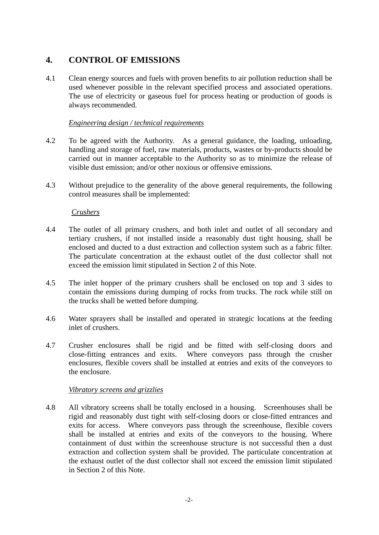## **4. CONTROL OF EMISSIONS**

4.1 Clean energy sources and fuels with proven benefits to air pollution reduction shall be used whenever possible in the relevant specified process and associated operations. The use of electricity or gaseous fuel for process heating or production of goods is always recommended.

#### *Engineering design / technical requirements*

- 4.2 To be agreed with the Authority. As a general guidance, the loading, unloading, handling and storage of fuel, raw materials, products, wastes or by-products should be carried out in manner acceptable to the Authority so as to minimize the release of visible dust emission; and/or other noxious or offensive emissions.
- 4.3 Without prejudice to the generality of the above general requirements, the following control measures shall be implemented:

### *Crushers*

- 4.4 The outlet of all primary crushers, and both inlet and outlet of all secondary and tertiary crushers, if not installed inside a reasonably dust tight housing, shall be enclosed and ducted to a dust extraction and collection system such as a fabric filter. The particulate concentration at the exhaust outlet of the dust collector shall not exceed the emission limit stipulated in Section 2 of this Note.
- 4.5 The inlet hopper of the primary crushers shall be enclosed on top and 3 sides to contain the emissions during dumping of rocks from trucks. The rock while still on the trucks shall be wetted before dumping.
- 4.6 Water sprayers shall be installed and operated in strategic locations at the feeding inlet of crushers.
- 4.7 Crusher enclosures shall be rigid and be fitted with self-closing doors and close-fitting entrances and exits. Where conveyors pass through the crusher enclosures, flexible covers shall be installed at entries and exits of the conveyors to the enclosure.

#### *Vibratory screens and grizzlies*

4.8 All vibratory screens shall be totally enclosed in a housing. Screenhouses shall be rigid and reasonably dust tight with self-closing doors or close-fitted entrances and exits for access. Where conveyors pass through the screenhouse, flexible covers shall be installed at entries and exits of the conveyors to the housing. Where containment of dust within the screenhouse structure is not successful then a dust extraction and collection system shall be provided. The particulate concentration at the exhaust outlet of the dust collector shall not exceed the emission limit stipulated in Section 2 of this Note.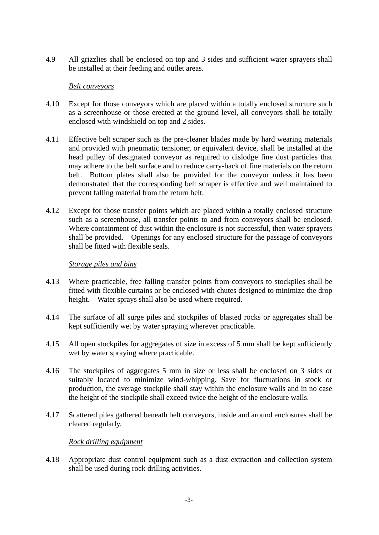4.9 All grizzlies shall be enclosed on top and 3 sides and sufficient water sprayers shall be installed at their feeding and outlet areas.

#### *Belt conveyors*

- 4.10 Except for those conveyors which are placed within a totally enclosed structure such as a screenhouse or those erected at the ground level, all conveyors shall be totally enclosed with windshield on top and 2 sides.
- 4.11 Effective belt scraper such as the pre-cleaner blades made by hard wearing materials and provided with pneumatic tensioner, or equivalent device, shall be installed at the head pulley of designated conveyor as required to dislodge fine dust particles that may adhere to the belt surface and to reduce carry-back of fine materials on the return belt. Bottom plates shall also be provided for the conveyor unless it has been demonstrated that the corresponding belt scraper is effective and well maintained to prevent falling material from the return belt.
- 4.12 Except for those transfer points which are placed within a totally enclosed structure such as a screenhouse, all transfer points to and from conveyors shall be enclosed. Where containment of dust within the enclosure is not successful, then water sprayers shall be provided. Openings for any enclosed structure for the passage of conveyors shall be fitted with flexible seals.

#### *Storage piles and bins*

- 4.13 Where practicable, free falling transfer points from conveyors to stockpiles shall be fitted with flexible curtains or be enclosed with chutes designed to minimize the drop height. Water sprays shall also be used where required.
- 4.14 The surface of all surge piles and stockpiles of blasted rocks or aggregates shall be kept sufficiently wet by water spraying wherever practicable.
- 4.15 All open stockpiles for aggregates of size in excess of 5 mm shall be kept sufficiently wet by water spraying where practicable.
- 4.16 The stockpiles of aggregates 5 mm in size or less shall be enclosed on 3 sides or suitably located to minimize wind-whipping. Save for fluctuations in stock or production, the average stockpile shall stay within the enclosure walls and in no case the height of the stockpile shall exceed twice the height of the enclosure walls.
- 4.17 Scattered piles gathered beneath belt conveyors, inside and around enclosures shall be cleared regularly.

#### *Rock drilling equipment*

4.18 Appropriate dust control equipment such as a dust extraction and collection system shall be used during rock drilling activities.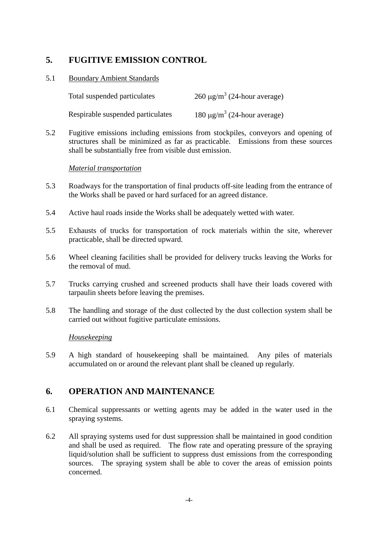# **5. FUGITIVE EMISSION CONTROL**

### 5.1 Boundary Ambient Standards

| Total suspended particulates      | 260 $\mu$ g/m <sup>3</sup> (24-hour average) |
|-----------------------------------|----------------------------------------------|
| Respirable suspended particulates | 180 $\mu$ g/m <sup>3</sup> (24-hour average) |

5.2 Fugitive emissions including emissions from stockpiles, conveyors and opening of structures shall be minimized as far as practicable. Emissions from these sources shall be substantially free from visible dust emission.

#### *Material transportation*

- 5.3 Roadways for the transportation of final products off-site leading from the entrance of the Works shall be paved or hard surfaced for an agreed distance.
- 5.4 Active haul roads inside the Works shall be adequately wetted with water.
- 5.5 Exhausts of trucks for transportation of rock materials within the site, wherever practicable, shall be directed upward.
- 5.6 Wheel cleaning facilities shall be provided for delivery trucks leaving the Works for the removal of mud.
- 5.7 Trucks carrying crushed and screened products shall have their loads covered with tarpaulin sheets before leaving the premises.
- 5.8 The handling and storage of the dust collected by the dust collection system shall be carried out without fugitive particulate emissions.

## *Housekeeping*

5.9 A high standard of housekeeping shall be maintained. Any piles of materials accumulated on or around the relevant plant shall be cleaned up regularly.

# **6. OPERATION AND MAINTENANCE**

- 6.1 Chemical suppressants or wetting agents may be added in the water used in the spraying systems.
- 6.2 All spraying systems used for dust suppression shall be maintained in good condition and shall be used as required. The flow rate and operating pressure of the spraying liquid/solution shall be sufficient to suppress dust emissions from the corresponding sources. The spraying system shall be able to cover the areas of emission points concerned.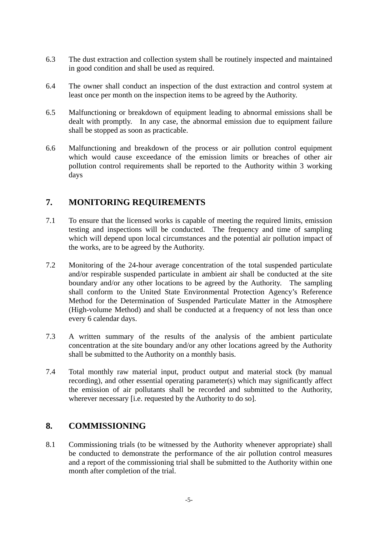- 6.3 The dust extraction and collection system shall be routinely inspected and maintained in good condition and shall be used as required.
- 6.4 The owner shall conduct an inspection of the dust extraction and control system at least once per month on the inspection items to be agreed by the Authority.
- 6.5 Malfunctioning or breakdown of equipment leading to abnormal emissions shall be dealt with promptly. In any case, the abnormal emission due to equipment failure shall be stopped as soon as practicable.
- 6.6 Malfunctioning and breakdown of the process or air pollution control equipment which would cause exceedance of the emission limits or breaches of other air pollution control requirements shall be reported to the Authority within 3 working days

## **7. MONITORING REQUIREMENTS**

- 7.1 To ensure that the licensed works is capable of meeting the required limits, emission testing and inspections will be conducted. The frequency and time of sampling which will depend upon local circumstances and the potential air pollution impact of the works, are to be agreed by the Authority.
- boundary and/or any other locations to be agreed by the Authority. The sampling 7.2 Monitoring of the 24-hour average concentration of the total suspended particulate and/or respirable suspended particulate in ambient air shall be conducted at the site shall conform to the United State Environmental Protection Agency's Reference Method for the Determination of Suspended Particulate Matter in the Atmosphere (High-volume Method) and shall be conducted at a frequency of not less than once every 6 calendar days.
- 7.3 A written summary of the results of the analysis of the ambient particulate concentration at the site boundary and/or any other locations agreed by the Authority shall be submitted to the Authority on a monthly basis.
- 7.4 Total monthly raw material input, product output and material stock (by manual recording), and other essential operating parameter(s) which may significantly affect the emission of air pollutants shall be recorded and submitted to the Authority, wherever necessary [i.e. requested by the Authority to do so].

## **8. COMMISSIONING**

8.1 Commissioning trials (to be witnessed by the Authority whenever appropriate) shall be conducted to demonstrate the performance of the air pollution control measures and a report of the commissioning trial shall be submitted to the Authority within one month after completion of the trial.